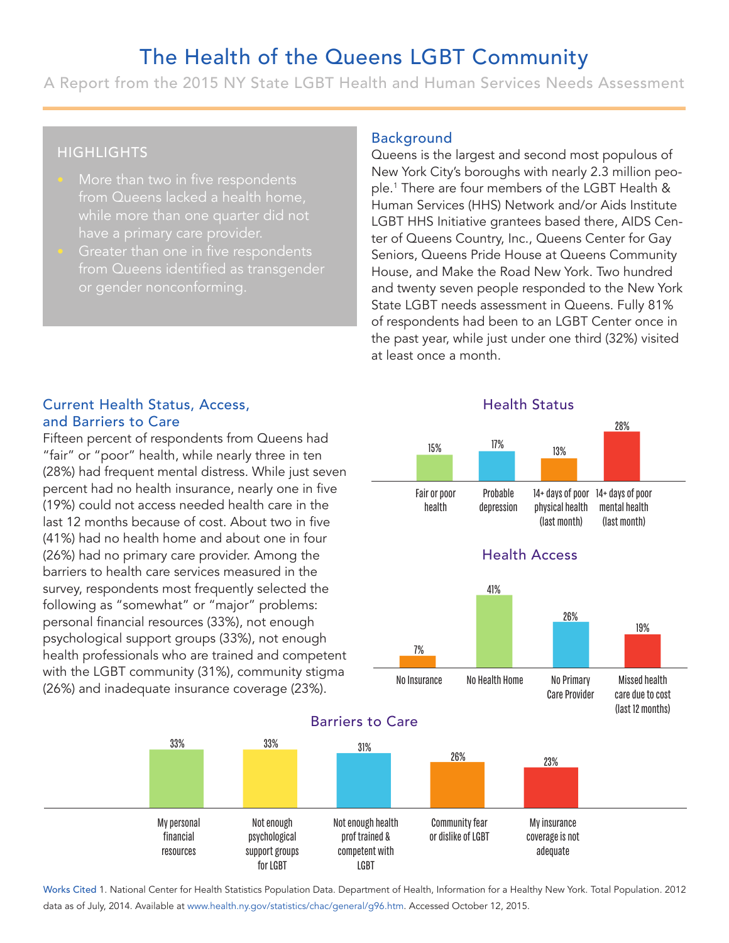# The Health of the Queens LGBT Community

A Report from the 2015 NY State LGBT Health and Human Services Needs Assessment

# **HIGHLIGHTS**

- More than two in five respondents from Queens lacked a health home,
- Greater than one in five respondents from Queens identified as transgender or gender nonconforming.

#### Background

Queens is the largest and second most populous of New York City's boroughs with nearly 2.3 million people.<sup>1</sup> There are four members of the LGBT Health & Human Services (HHS) Network and/or Aids Institute LGBT HHS Initiative grantees based there, AIDS Center of Queens Country, Inc., Queens Center for Gay Seniors, Queens Pride House at Queens Community House, and Make the Road New York. Two hundred and twenty seven people responded to the New York State LGBT needs assessment in Queens. Fully 81% of respondents had been to an LGBT Center once in the past year, while just under one third (32%) visited at least once a month. Expround<br>
eens is the larg<br>
w York City's bc<br>
1 There are fou<br>
1 There are fou<br>
1 There are fou<br>
1 There are fourned in STAR Price<br>
1 The STAR Press<br>
1 The STAR Press<br>
15%<br>
15%<br>
15%<br>
15%<br>
15%<br>
15%<br>
16%<br>
16%<br>
16%<br>
16%<br>
16%<br> **15%**<br>
15% **City's boroughs with nearly 2.3** million pe<br>
2.3 million pe<br>
2.1 million pe<br>
2.1 million granters based there, AIDS C<br>
5 Initiative granters based there, AIDS C<br>
2.1 minutive grantes based there, AIDS C<br>
2.1 mi

#### Current Health Status, Access, and Barriers to Care

Fifteen percent of respondents from Queens had "fair" or "poor" health, while nearly three in ten (28%) had frequent mental distress. While just seven percent had no health insurance, nearly one in five (19%) could not access needed health care in the last 12 months because of cost. About two in five (41%) had no health home and about one in four (26%) had no primary care provider. Among the barriers to health care services measured in the survey, respondents most frequently selected the following as "somewhat" or "major" problems: personal financial resources (33%), not enough psychological support groups (33%), not enough health professionals who are trained and competent with the LGBT community (31%), community stigma With the ESBT community (3176), community stigma<br>(26%) and inadequate insurance coverage (23%).









Works Cited 1. National Center for Health Statistics Population Data. Department of Health, Information for a Healthy New York. Total Population. 2012 data as of July, 2014. Available at www.health.ny.gov/statistics/chac/general/g96.htm. Accessed October 12, 2015.